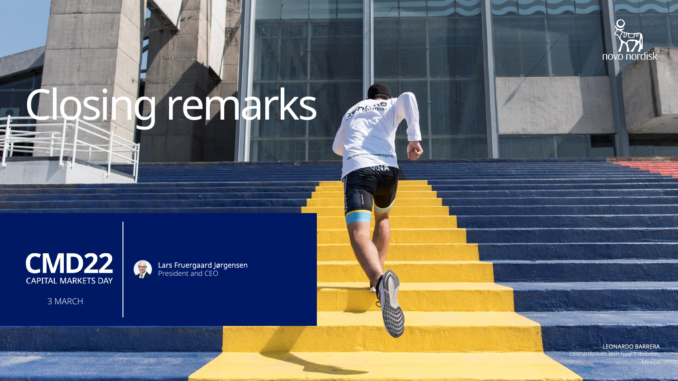

## Closing remarks

Antiothlop

*ITOCION* **QINA** 



Lars Fruergaard Jørgensen President and CEO

3 MARCH

LEONARDO BARRERA

Leonardo lives with type

Mexico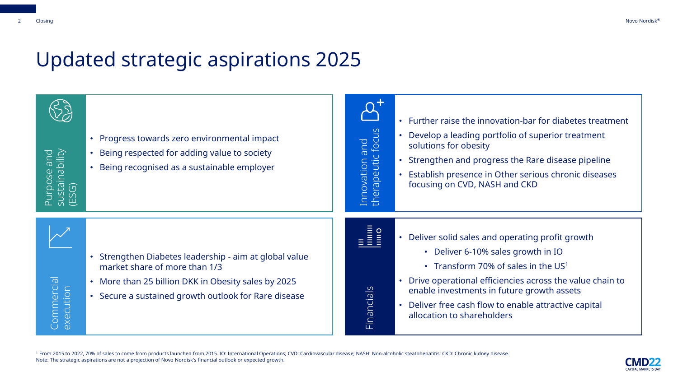## Updated strategic aspirations 2025